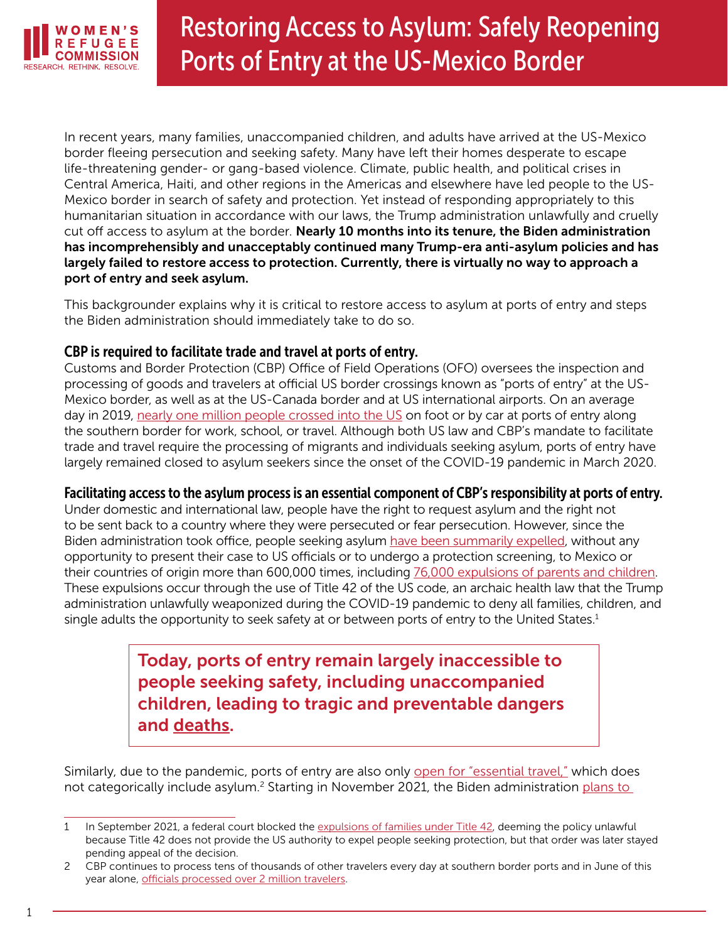

# Restoring Access to Asylum: Safely Reopening Ports of Entry at the US-Mexico Border

In recent years, many families, unaccompanied children, and adults have arrived at the US-Mexico border fleeing persecution and seeking safety. Many have left their homes desperate to escape life-threatening gender- or gang-based violence. Climate, public health, and political crises in Central America, Haiti, and other regions in the Americas and elsewhere have led people to the US-Mexico border in search of safety and protection. Yet instead of responding appropriately to this humanitarian situation in accordance with our laws, the Trump administration unlawfully and cruelly cut off access to asylum at the border. Nearly 10 months into its tenure, the Biden administration has incomprehensibly and unacceptably continued many Trump-era anti-asylum policies and has largely failed to restore access to protection. Currently, there is virtually no way to approach a port of entry and seek asylum.

This backgrounder explains why it is critical to restore access to asylum at ports of entry and steps the Biden administration should immediately take to do so.

## CBP is required to facilitate trade and travel at ports of entry.

Customs and Border Protection (CBP) Office of Field Operations (OFO) oversees the inspection and processing of goods and travelers at official US border crossings known as "ports of entry" at the US-Mexico border, as well as at the US-Canada border and at US international airports. On an average day in 2019, [nearly one million people crossed into the US](https://www.reuters.com/article/us-health-coronavirus-border/worlds-busiest-border-falls-quiet-with-millions-of-mexicans-barred-from-u-s-idUSKBN21I0MR) on foot or by car at ports of entry along the southern border for work, school, or travel. Although both US law and CBP's mandate to facilitate trade and travel require the processing of migrants and individuals seeking asylum, ports of entry have largely remained closed to asylum seekers since the onset of the COVID-19 pandemic in March 2020.

## Facilitating access to the asylum process is an essential component of CBP's responsibility at ports of entry.

Under domestic and international law, people have the right to request asylum and the right not to be sent back to a country where they were persecuted or fear persecution. However, since the Biden administration took office, people seeking asylum [have been summarily expelled](https://www.cbp.gov/newsroom/stats/cbp-enforcement-statistics/title-8-and-title-42-statistics), without any opportunity to present their case to US officials or to undergo a protection screening, to Mexico or their countries of origin more than 600,000 times, including [76,000 expulsions of parents and children](https://www.cbp.gov/newsroom/stats/southwest-land-border-encounters). These expulsions occur through the use of Title 42 of the US code, an archaic health law that the Trump administration unlawfully weaponized during the COVID-19 pandemic to deny all families, children, and single adults the opportunity to seek safety at or between ports of entry to the United States.<sup>1</sup>

> Today, ports of entry remain largely inaccessible to people seeking safety, including unaccompanied children, leading to tragic and preventable dangers and [deaths](https://www.npr.org/2021/07/31/1023146100/deaths-at-the-arizona-mexico-border-are-on-pace-to-be-highest-ever-recorded).

Similarly, due to the pandemic, ports of entry are also only [open for "essential travel,"](https://help.cbp.gov/s/article/Article-1596?language=en_US) which does not categorically include asylum.<sup>2</sup> Starting in November 2021, the Biden administration <u>plans to</u>

<sup>1</sup> In September 2021, a federal court blocked the [expulsions of families under Title 42](https://ecf.dcd.uscourts.gov/cgi-bin/show_public_doc?2021cv0100-123), deeming the policy unlawful because Title 42 does not provide the US authority to expel people seeking protection, but that order was later stayed pending appeal of the decision.

<sup>2</sup> CBP continues to process tens of thousands of other travelers every day at southern border ports and in June of this year alone, [officials processed over 2 million travelers](https://www.bts.gov/explore-topics-and-geography/geography/border-crossingentry-data).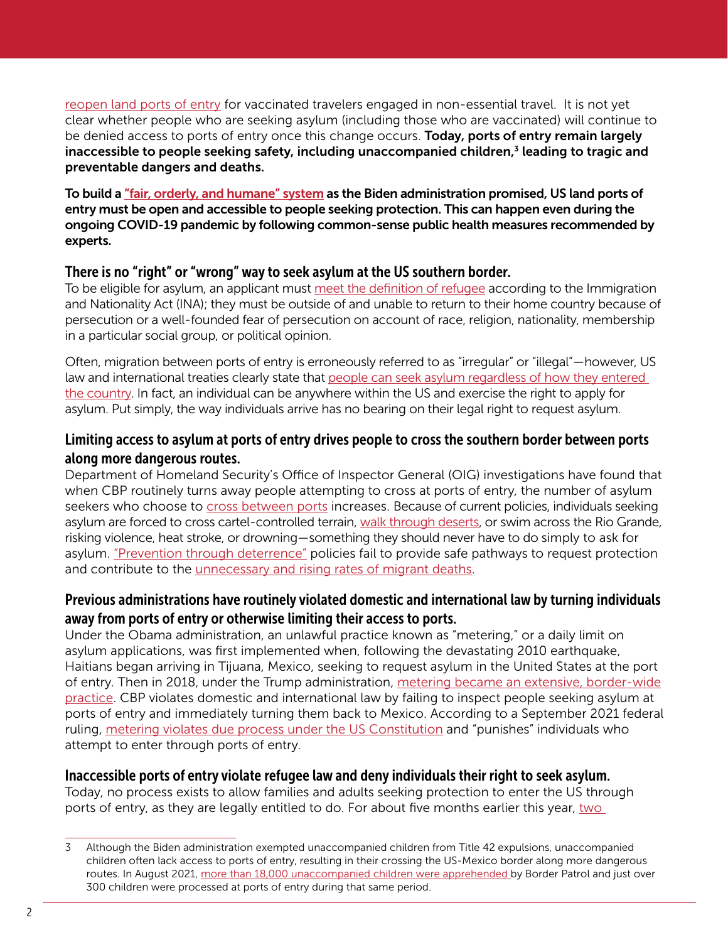[reopen land ports of entry](https://www.nytimes.com/2021/10/12/us/politics/us-canada-mexico-borders-open.html) for vaccinated travelers engaged in non-essential travel. It is not yet clear whether people who are seeking asylum (including those who are vaccinated) will continue to be denied access to ports of entry once this change occurs. Today, ports of entry remain largely inaccessible to people seeking safety, including unaccompanied children, $<sup>3</sup>$  leading to tragic and</sup> preventable dangers and deaths.

To build a ["fair, orderly, and humane" system](https://www.whitehouse.gov/briefing-room/statements-releases/2021/07/27/fact-sheet-the-biden-administration-blueprint-for-a-fair-orderly-and-humane-immigration-system/) as the Biden administration promised, US land ports of entry must be open and accessible to people seeking protection. This can happen even during the ongoing COVID-19 pandemic by following common-sense public health measures recommended by experts.

## There is no "right" or "wrong" way to seek asylum at the US southern border.

To be eligible for asylum, an applicant must [meet the definition of refugee](https://www.law.cornell.edu/uscode/text/8/1101) according to the Immigration and Nationality Act (INA); they must be outside of and unable to return to their home country because of persecution or a well-founded fear of persecution on account of race, religion, nationality, membership in a particular social group, or political opinion.

Often, migration between ports of entry is erroneously referred to as "irregular" or "illegal"—however, US law and international treaties clearly state that people can seek asylum regardless of how they entered [the country](https://www.govinfo.gov/content/pkg/USCODE-2015-title8/pdf/USCODE-2015-title8-chap12-subchapII-partI-sec1158.pdf). In fact, an individual can be anywhere within the US and exercise the right to apply for asylum. Put simply, the way individuals arrive has no bearing on their legal right to request asylum.

## Limiting access to asylum at ports of entry drives people to cross the southern border between ports along more dangerous routes.

Department of Homeland Security's Office of Inspector General (OIG) investigations have found that when CBP routinely turns away people attempting to cross at ports of entry, the number of asylum seekers who choose to [cross between ports](https://www.oig.dhs.gov/sites/default/files/assets/2018-10/OIG-18-84-Sep18.pdf) increases. Because of current policies, individuals seeking asylum are forced to cross cartel-controlled terrain, [walk through deserts,](https://www.hrw.org/sites/default/files/media_2021/09/Extreme Heat and US Border Policies Letter to the Biden Administration%2C 09.15.21.pdf) or swim across the Rio Grande, risking violence, heat stroke, or drowning—something they should never have to do simply to ask for asylum. ["Prevention through deterrence"](https://immigrationimpact.com/2021/04/02/immigrants-coming-to-the-border-deterrence-policies/#.YWbv-9rMI2w) policies fail to provide safe pathways to request protection and contribute to the *unnecessary and rising rates of migrant deaths*.

# Previous administrations have routinely violated domestic and international law by turning individuals away from ports of entry or otherwise limiting their access to ports.

Under the Obama administration, an unlawful practice known as "metering," or a daily limit on asylum applications, was first implemented when, following the devastating 2010 earthquake, Haitians began arriving in Tijuana, Mexico, seeking to request asylum in the United States at the port of entry. Then in 2018, under the Trump administration, [metering became an extensive, border-wide](https://www.oig.dhs.gov/sites/default/files/assets/2020-10/OIG-21-02-Oct20.pdf) [practice](https://www.oig.dhs.gov/sites/default/files/assets/2020-10/OIG-21-02-Oct20.pdf). CBP violates domestic and international law by failing to inspect people seeking asylum at ports of entry and immediately turning them back to Mexico. According to a September 2021 federal ruling, [metering violates due process under the US Constitution](https://www.americanimmigrationcouncil.org/sites/default/files/litigation_documents/challenging_custom_and_border_protections_unlawful_practice_of_turning_away_asylum_seekers_summary_judgement_order.pdf) and "punishes" individuals who attempt to enter through ports of entry.

## Inaccessible ports of entry violate refugee law and deny individuals their right to seek asylum.

Today, no process exists to allow families and adults seeking protection to enter the US through ports of entry, as they are legally entitled to do. For about five months earlier this year, two

<sup>3</sup> Although the Biden administration exempted unaccompanied children from Title 42 expulsions, unaccompanied children often lack access to ports of entry, resulting in their crossing the US-Mexico border along more dangerous routes. In August 2021, [more than 18,000 unaccompanied children were apprehended b](https://www.cbp.gov/newsroom/stats/southwest-land-border-encounters)y Border Patrol and just over 300 children were processed at ports of entry during that same period.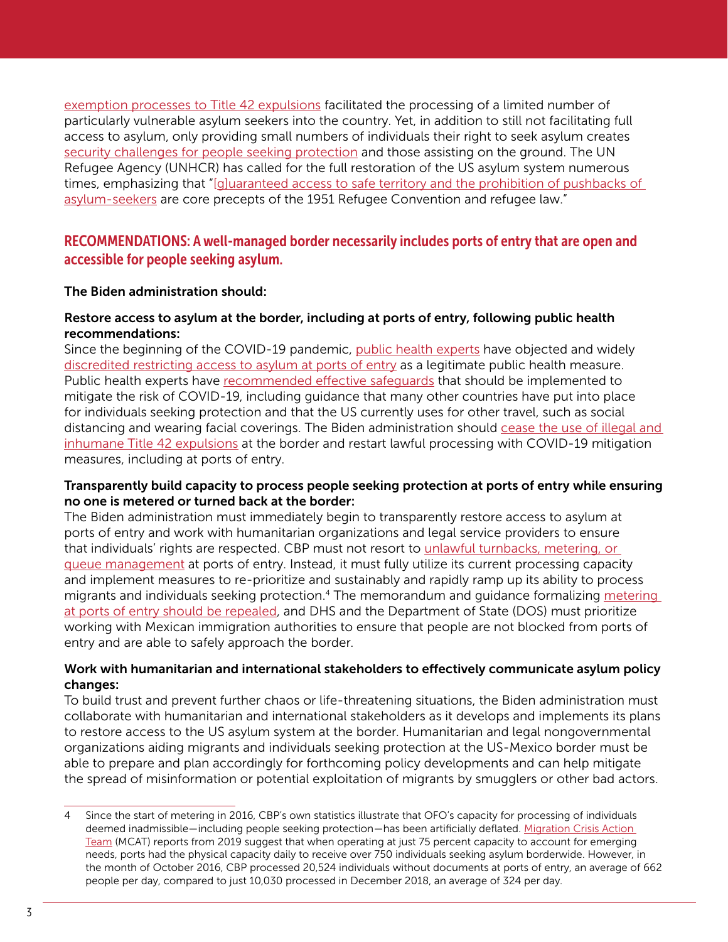[exemption processes to Title 42 expulsions](https://elpasomatters.org/2021/09/07/vulnerable-migrants-will-no-longer-be-exempt-from-rapid-expulsion-at-the-border/) facilitated the processing of a limited number of particularly vulnerable asylum seekers into the country. Yet, in addition to still not facilitating full access to asylum, only providing small numbers of individuals their right to seek asylum creates [security challenges for people seeking protection](https://www.humanrightsfirst.org/sites/default/files/HumanRightsTravesty_FINAL.pdf) and those assisting on the ground. The UN Refugee Agency (UNHCR) has called for the full restoration of the US asylum system numerous times, emphasizing that "[[g\]uaranteed access to safe territory and the prohibition of pushbacks of](https://www.unhcr.org/en-us/news/press/2021/5/60a687764/statement-attributable-un-high-commissioner-refugees-filippo-grandi-need.html)  [asylum-seekers](https://www.unhcr.org/en-us/news/press/2021/5/60a687764/statement-attributable-un-high-commissioner-refugees-filippo-grandi-need.html) are core precepts of the 1951 Refugee Convention and refugee law."

# RECOMMENDATIONS: A well-managed border necessarily includes ports of entry that are open and accessible for people seeking asylum.

## The Biden administration should:

## Restore access to asylum at the border, including at ports of entry, following public health recommendations:

Since the beginning of the COVID-19 pandemic, [public health experts](https://www.publichealth.columbia.edu/research/program-forced-migration-and-health/july-2021-letter-hhs-secretary-becerra-and-cdc-director-walensky-title-42-order) have objected and widely [discredited restricting access to asylum at ports of entry](https://www.publichealth.columbia.edu/node/76271) as a legitimate public health measure. Public health experts have [recommended effective safeguards](https://www.publichealth.columbia.edu/public-health-now/news/public-health-experts-issue-recommendations-protect-public-health-and-lives-asylum-seekers) that should be implemented to mitigate the risk of COVID-19, including guidance that many other countries have put into place for individuals seeking protection and that the US currently uses for other travel, such as social distancing and wearing facial coverings. The Biden administration should [cease the use of illegal and](https://www.politico.com/f/?id=0000017c-4c4a-dddc-a77e-4ddbf3ae0000)  [inhumane Title 42 expulsions](https://www.politico.com/f/?id=0000017c-4c4a-dddc-a77e-4ddbf3ae0000) at the border and restart lawful processing with COVID-19 mitigation measures, including at ports of entry.

## Transparently build capacity to process people seeking protection at ports of entry while ensuring no one is metered or turned back at the border:

The Biden administration must immediately begin to transparently restore access to asylum at ports of entry and work with humanitarian organizations and legal service providers to ensure that individuals' rights are respected. CBP must not resort to [unlawful turnbacks, metering, or](https://www.americanimmigrationcouncil.org/sites/default/files/litigation_documents/challenging_custom_and_border_protections_unlawful_practice_of_turning_away_asylum_seekers_summary_judgement_order.pdf)  [queue management](https://www.americanimmigrationcouncil.org/sites/default/files/litigation_documents/challenging_custom_and_border_protections_unlawful_practice_of_turning_away_asylum_seekers_summary_judgement_order.pdf) at ports of entry. Instead, it must fully utilize its current processing capacity and implement measures to re-prioritize and sustainably and rapidly ramp up its ability to process migrants and individuals seeking protection.4 The memorandum and guidance formalizing [metering](https://www.oig.dhs.gov/sites/default/files/assets/2020-10/OIG-21-02-Oct20.pdf)  [at ports of entry should be repealed,](https://www.oig.dhs.gov/sites/default/files/assets/2020-10/OIG-21-02-Oct20.pdf) and DHS and the Department of State (DOS) must prioritize working with Mexican immigration authorities to ensure that people are not blocked from ports of entry and are able to safely approach the border.

## Work with humanitarian and international stakeholders to effectively communicate asylum policy changes:

To build trust and prevent further chaos or life-threatening situations, the Biden administration must collaborate with humanitarian and international stakeholders as it develops and implements its plans to restore access to the US asylum system at the border. Humanitarian and legal nongovernmental organizations aiding migrants and individuals seeking protection at the US-Mexico border must be able to prepare and plan accordingly for forthcoming policy developments and can help mitigate the spread of misinformation or potential exploitation of migrants by smugglers or other bad actors.

<sup>4</sup> Since the start of metering in 2016, CBP's own statistics illustrate that OFO's capacity for processing of individuals deemed inadmissible—including people seeking protection—has been artificially deflated. [Migration Crisis Action](https://www.judiciary.senate.gov/imo/media/doc/McAleenan Responses to Questions for the Record.pdf)  [Team](https://www.judiciary.senate.gov/imo/media/doc/McAleenan Responses to Questions for the Record.pdf) (MCAT) reports from 2019 suggest that when operating at just 75 percent capacity to account for emerging needs, ports had the physical capacity daily to receive over 750 individuals seeking asylum borderwide. However, in the month of October 2016, CBP processed 20,524 individuals without documents at ports of entry, an average of 662 people per day, compared to just 10,030 processed in December 2018, an average of 324 per day.